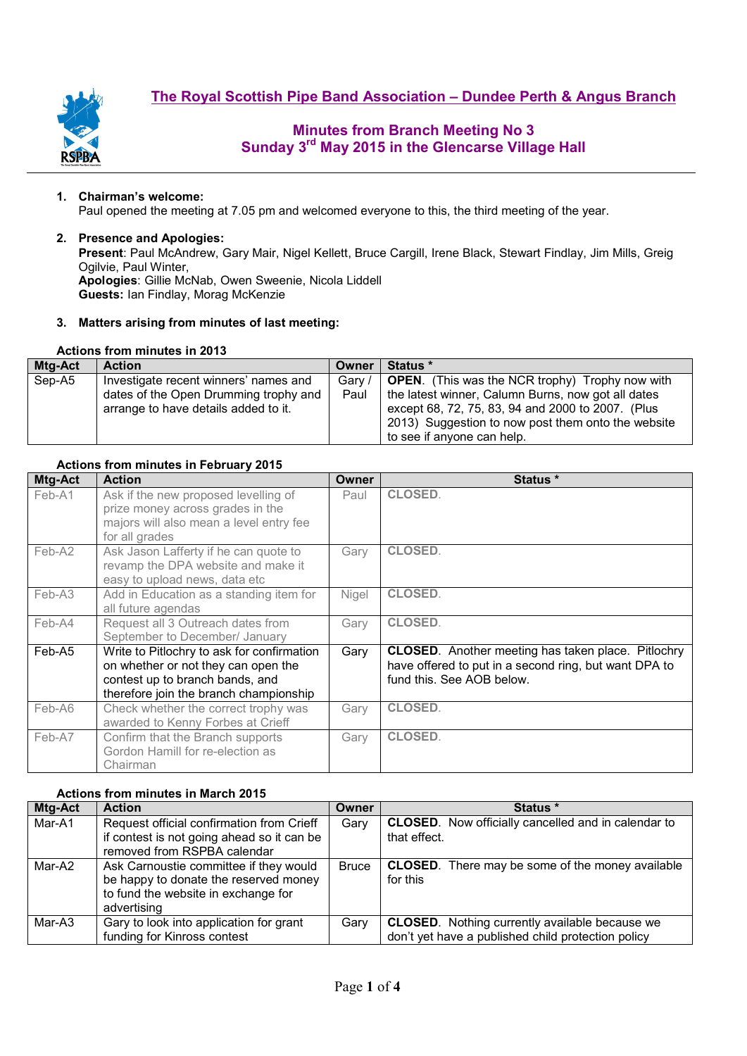

# **Minutes from Branch Meeting No 3 Sunday 3rd May 2015 in the Glencarse Village Hall**

### **1. Chairman's welcome:**

Paul opened the meeting at 7.05 pm and welcomed everyone to this, the third meeting of the year.

#### **2. Presence and Apologies:**

**Present**: Paul McAndrew, Gary Mair, Nigel Kellett, Bruce Cargill, Irene Black, Stewart Findlay, Jim Mills, Greig Ogilvie, Paul Winter, **Apologies**: Gillie McNab, Owen Sweenie, Nicola Liddell **Guests:** Ian Findlay, Morag McKenzie

### **3. Matters arising from minutes of last meeting:**

## **Actions from minutes in 2013**

| Mtg-Act | <b>Action</b>                         | Owner  | Status *                                               |
|---------|---------------------------------------|--------|--------------------------------------------------------|
| Sep-A5  | Investigate recent winners' names and | Gary / | <b>OPEN.</b> (This was the NCR trophy) Trophy now with |
|         | dates of the Open Drumming trophy and | Paul   | the latest winner, Calumn Burns, now got all dates     |
|         | arrange to have details added to it.  |        | except 68, 72, 75, 83, 94 and 2000 to 2007. (Plus      |
|         |                                       |        | 2013) Suggestion to now post them onto the website     |
|         |                                       |        | to see if anyone can help.                             |

### **Actions from minutes in February 2015**

| Mtg-Act | <b>Action</b>                                                                                                                                                  | Owner        | Status *                                                                                                                                        |
|---------|----------------------------------------------------------------------------------------------------------------------------------------------------------------|--------------|-------------------------------------------------------------------------------------------------------------------------------------------------|
| Feb-A1  | Ask if the new proposed levelling of<br>prize money across grades in the<br>majors will also mean a level entry fee<br>for all grades                          | Paul         | <b>CLOSED.</b>                                                                                                                                  |
| Feb-A2  | Ask Jason Lafferty if he can quote to<br>revamp the DPA website and make it<br>easy to upload news, data etc                                                   | Gary         | <b>CLOSED.</b>                                                                                                                                  |
| Feb-A3  | Add in Education as a standing item for<br>all future agendas                                                                                                  | <b>Nigel</b> | <b>CLOSED.</b>                                                                                                                                  |
| Feb-A4  | Request all 3 Outreach dates from<br>September to December/ January                                                                                            | Gary         | <b>CLOSED.</b>                                                                                                                                  |
| Feb-A5  | Write to Pitlochry to ask for confirmation<br>on whether or not they can open the<br>contest up to branch bands, and<br>therefore join the branch championship | Gary         | <b>CLOSED.</b> Another meeting has taken place. Pitlochry<br>have offered to put in a second ring, but want DPA to<br>fund this. See AOB below. |
| Feb-A6  | Check whether the correct trophy was<br>awarded to Kenny Forbes at Crieff                                                                                      | Gary         | <b>CLOSED.</b>                                                                                                                                  |
| Feb-A7  | Confirm that the Branch supports<br>Gordon Hamill for re-election as<br>Chairman                                                                               | Gary         | <b>CLOSED.</b>                                                                                                                                  |

### **Actions from minutes in March 2015**

| Mtg-Act | <b>Action</b>                              | Owner        | Status *                                                   |  |  |  |
|---------|--------------------------------------------|--------------|------------------------------------------------------------|--|--|--|
| Mar-A1  | Request official confirmation from Crieff  | Gary         | <b>CLOSED.</b> Now officially cancelled and in calendar to |  |  |  |
|         | if contest is not going ahead so it can be |              | that effect.                                               |  |  |  |
|         | removed from RSPBA calendar                |              |                                                            |  |  |  |
| Mar-A2  | Ask Carnoustie committee if they would     | <b>Bruce</b> | <b>CLOSED.</b> There may be some of the money available    |  |  |  |
|         | be happy to donate the reserved money      |              | for this                                                   |  |  |  |
|         | to fund the website in exchange for        |              |                                                            |  |  |  |
|         | advertising                                |              |                                                            |  |  |  |
| Mar-A3  | Gary to look into application for grant    | Garv         | <b>CLOSED.</b> Nothing currently available because we      |  |  |  |
|         | funding for Kinross contest                |              | don't yet have a published child protection policy         |  |  |  |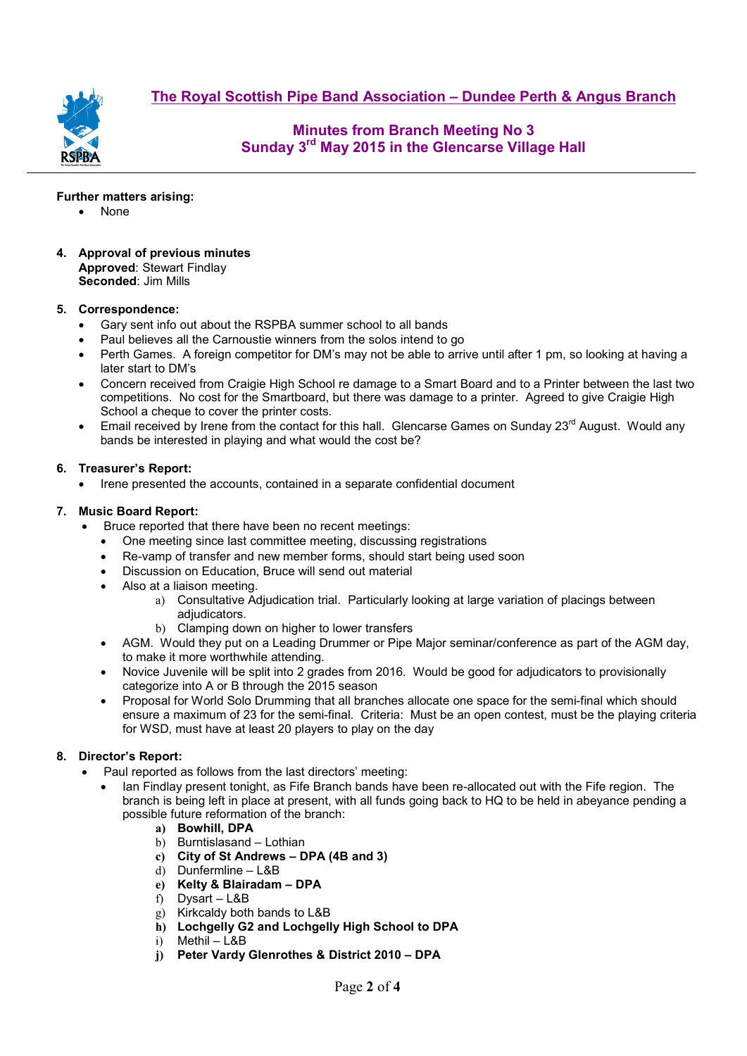**The Royal Scottish Pipe Band Association – Dundee Perth & Angus Branch**



**Minutes from Branch Meeting No 3 Sunday 3rd May 2015 in the Glencarse Village Hall** 

**Further matters arising:** 

- None
- **4. Approval of previous minutes Approved**: Stewart Findlay **Seconded**: Jim Mills

# **5. Correspondence:**

- Gary sent info out about the RSPBA summer school to all bands
- Paul believes all the Carnoustie winners from the solos intend to go
- Perth Games. A foreign competitor for DM's may not be able to arrive until after 1 pm, so looking at having a later start to DM's
- Concern received from Craigie High School re damage to a Smart Board and to a Printer between the last two competitions. No cost for the Smartboard, but there was damage to a printer. Agreed to give Craigie High School a cheque to cover the printer costs.
- Email received by Irene from the contact for this hall. Glencarse Games on Sunday  $23<sup>rd</sup>$  August. Would any bands be interested in playing and what would the cost be?

# **6. Treasurer's Report:**

• Irene presented the accounts, contained in a separate confidential document

# **7. Music Board Report:**

- Bruce reported that there have been no recent meetings:
	- One meeting since last committee meeting, discussing registrations
	- Re-vamp of transfer and new member forms, should start being used soon
	- Discussion on Education, Bruce will send out material
	- Also at a liaison meeting.
		- a) Consultative Adjudication trial. Particularly looking at large variation of placings between adjudicators.
		- b) Clamping down on higher to lower transfers
	- AGM. Would they put on a Leading Drummer or Pipe Major seminar/conference as part of the AGM day, to make it more worthwhile attending.
	- Novice Juvenile will be split into 2 grades from 2016. Would be good for adjudicators to provisionally categorize into A or B through the 2015 season
	- Proposal for World Solo Drumming that all branches allocate one space for the semi-final which should ensure a maximum of 23 for the semi-final. Criteria: Must be an open contest, must be the playing criteria for WSD, must have at least 20 players to play on the day

# **8. Director's Report:**

- Paul reported as follows from the last directors' meeting:
	- Ian Findlay present tonight, as Fife Branch bands have been re-allocated out with the Fife region. The branch is being left in place at present, with all funds going back to HQ to be held in abeyance pending a possible future reformation of the branch:
		- **a) Bowhill, DPA**
		- b) Burntislasand Lothian
		- **c) City of St Andrews DPA (4B and 3)**
		- d) Dunfermline L&B
		- **e) Kelty & Blairadam DPA**
		- f) Dysart L&B
		- g) Kirkcaldy both bands to L&B
		- **h) Lochgelly G2 and Lochgelly High School to DPA**
		- i) Methil L&B
		- **j) Peter Vardy Glenrothes & District 2010 DPA**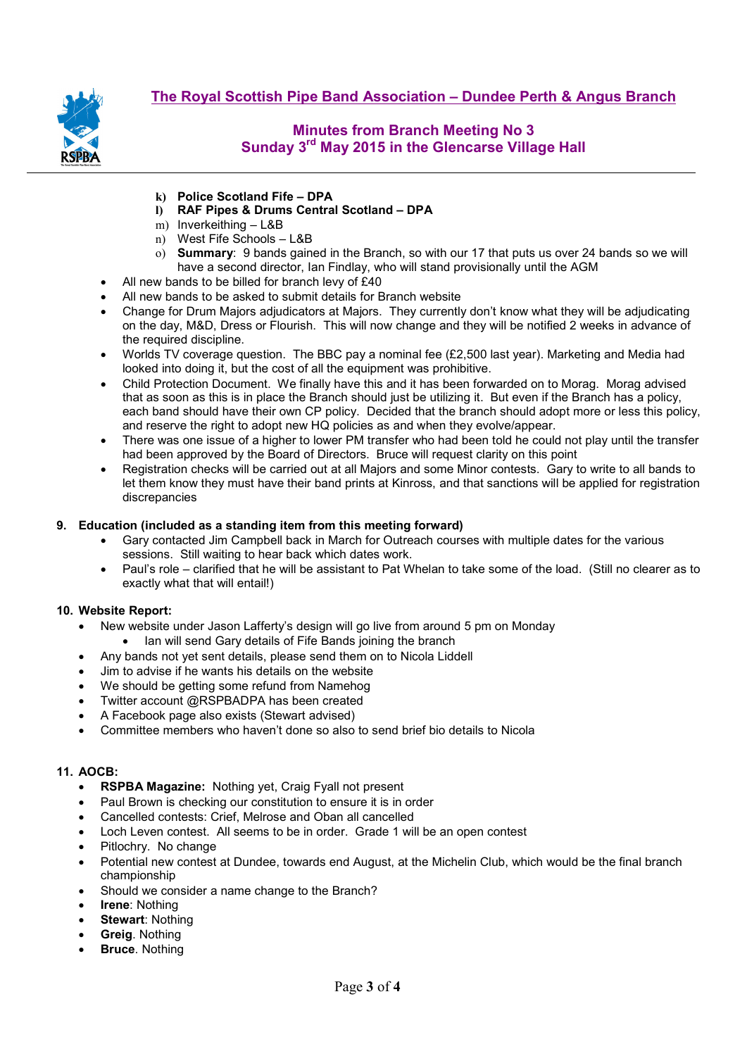

# **Minutes from Branch Meeting No 3 Sunday 3rd May 2015 in the Glencarse Village Hall**

- **k) Police Scotland Fife DPA**
- **l) RAF Pipes & Drums Central Scotland DPA**
- m) Inverkeithing L&B
- n) West Fife Schools L&B
- o) **Summary**: 9 bands gained in the Branch, so with our 17 that puts us over 24 bands so we will have a second director, Ian Findlay, who will stand provisionally until the AGM
- All new bands to be billed for branch levy of £40
- All new bands to be asked to submit details for Branch website
- Change for Drum Majors adjudicators at Majors. They currently don't know what they will be adjudicating on the day, M&D, Dress or Flourish. This will now change and they will be notified 2 weeks in advance of the required discipline.
- Worlds TV coverage question. The BBC pay a nominal fee (£2,500 last year). Marketing and Media had looked into doing it, but the cost of all the equipment was prohibitive.
- Child Protection Document. We finally have this and it has been forwarded on to Morag. Morag advised that as soon as this is in place the Branch should just be utilizing it. But even if the Branch has a policy, each band should have their own CP policy. Decided that the branch should adopt more or less this policy, and reserve the right to adopt new HQ policies as and when they evolve/appear.
- There was one issue of a higher to lower PM transfer who had been told he could not play until the transfer had been approved by the Board of Directors. Bruce will request clarity on this point
- Registration checks will be carried out at all Majors and some Minor contests. Gary to write to all bands to let them know they must have their band prints at Kinross, and that sanctions will be applied for registration discrepancies

# **9. Education (included as a standing item from this meeting forward)**

- Gary contacted Jim Campbell back in March for Outreach courses with multiple dates for the various sessions. Still waiting to hear back which dates work.
- Paul's role clarified that he will be assistant to Pat Whelan to take some of the load. (Still no clearer as to exactly what that will entail!)

# **10. Website Report:**

- New website under Jason Lafferty's design will go live from around 5 pm on Monday
	- Ian will send Gary details of Fife Bands joining the branch
- Any bands not yet sent details, please send them on to Nicola Liddell
- Jim to advise if he wants his details on the website
- We should be getting some refund from Namehog
- Twitter account @RSPBADPA has been created
- A Facebook page also exists (Stewart advised)
- Committee members who haven't done so also to send brief bio details to Nicola

# **11. AOCB:**

- **RSPBA Magazine:** Nothing yet, Craig Fyall not present
- Paul Brown is checking our constitution to ensure it is in order
- Cancelled contests: Crief, Melrose and Oban all cancelled
- Loch Leven contest. All seems to be in order. Grade 1 will be an open contest
- Pitlochry. No change
- Potential new contest at Dundee, towards end August, at the Michelin Club, which would be the final branch championship
- Should we consider a name change to the Branch?
- **Irene: Nothing**
- **Stewart: Nothing**
- **Greig**. Nothing
- **Bruce**. Nothing